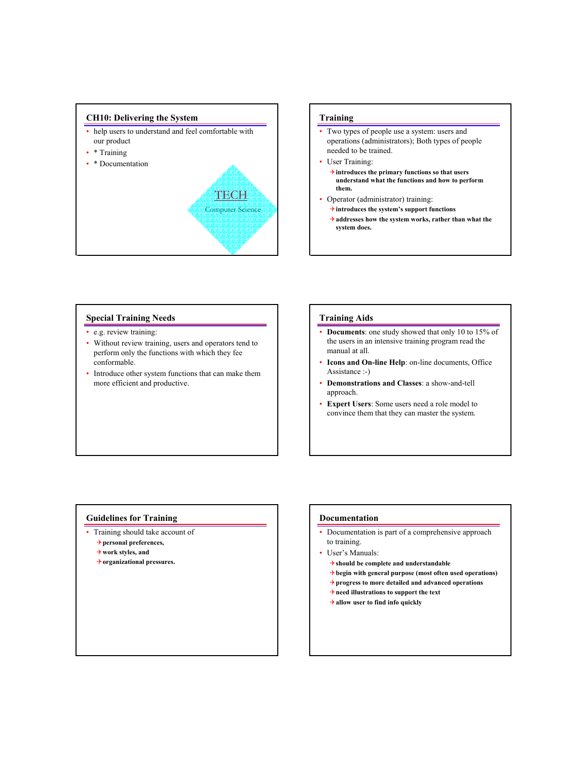

## **Training**

- Two types of people use a system: users and operations (administrators); Both types of people needed to be trained.
- User Training:
	- 4**introduces the primary functions so that users understand what the functions and how to perform them.**
- Operator (administrator) training:
	- 4**introduces the system's support functions**
	- 4**addresses how the system works, rather than what the system does.**

### **Special Training Needs**

- e.g. review training:
- Without review training, users and operators tend to perform only the functions with which they fee conformable.
- Introduce other system functions that can make them more efficient and productive.

### **Training Aids**

- **Documents**: one study showed that only 10 to 15% of the users in an intensive training program read the manual at all.
- **Icons and On-line Help**: on-line documents, Office Assistance :-)
- **Demonstrations and Classes**: a show-and-tell approach.
- **Expert Users**: Some users need a role model to convince them that they can master the system.

#### **Guidelines for Training**

- Training should take account of
	- 4**personal preferences,**
	- 4**work styles, and**
	- 4**organizational pressures.**

#### **Documentation**

- Documentation is part of a comprehensive approach to training.
- User's Manuals:
	- 4**should be complete and understandable**
	- 4**begin with general purpose (most often used operations)**
	- 4**progress to more detailed and advanced operations**
	- 4**need illustrations to support the text**
	- 4**allow user to find info quickly**